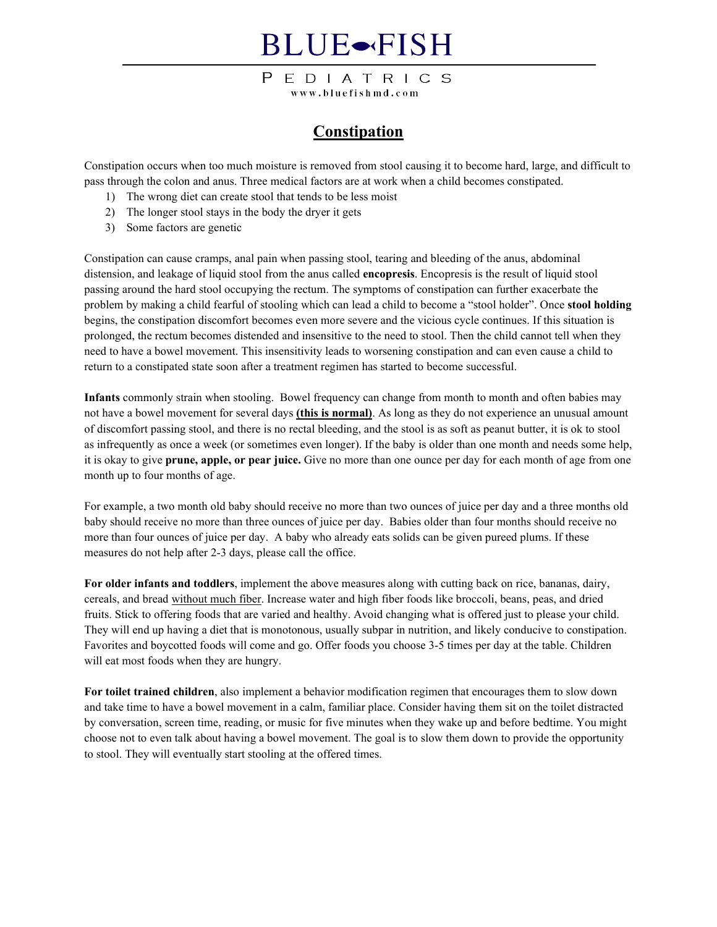## **BLUE**-FISH

PEDIATRICS www.bluefishmd.com

### **Constipation**

Constipation occurs when too much moisture is removed from stool causing it to become hard, large, and difficult to pass through the colon and anus. Three medical factors are at work when a child becomes constipated.

- 1) The wrong diet can create stool that tends to be less moist
- 2) The longer stool stays in the body the dryer it gets
- 3) Some factors are genetic

Constipation can cause cramps, anal pain when passing stool, tearing and bleeding of the anus, abdominal distension, and leakage of liquid stool from the anus called **encopresis**. Encopresis is the result of liquid stool passing around the hard stool occupying the rectum. The symptoms of constipation can further exacerbate the problem by making a child fearful of stooling which can lead a child to become a "stool holder". Once **stool holding**  begins, the constipation discomfort becomes even more severe and the vicious cycle continues. If this situation is prolonged, the rectum becomes distended and insensitive to the need to stool. Then the child cannot tell when they need to have a bowel movement. This insensitivity leads to worsening constipation and can even cause a child to return to a constipated state soon after a treatment regimen has started to become successful.

**Infants** commonly strain when stooling. Bowel frequency can change from month to month and often babies may not have a bowel movement for several days **(this is normal)**. As long as they do not experience an unusual amount of discomfort passing stool, and there is no rectal bleeding, and the stool is as soft as peanut butter, it is ok to stool as infrequently as once a week (or sometimes even longer). If the baby is older than one month and needs some help, it is okay to give **prune, apple, or pear juice.** Give no more than one ounce per day for each month of age from one month up to four months of age.

For example, a two month old baby should receive no more than two ounces of juice per day and a three months old baby should receive no more than three ounces of juice per day. Babies older than four months should receive no more than four ounces of juice per day. A baby who already eats solids can be given pureed plums. If these measures do not help after 2-3 days, please call the office.

**For older infants and toddlers**, implement the above measures along with cutting back on rice, bananas, dairy, cereals, and bread without much fiber. Increase water and high fiber foods like broccoli, beans, peas, and dried fruits. Stick to offering foods that are varied and healthy. Avoid changing what is offered just to please your child. They will end up having a diet that is monotonous, usually subpar in nutrition, and likely conducive to constipation. Favorites and boycotted foods will come and go. Offer foods you choose 3-5 times per day at the table. Children will eat most foods when they are hungry.

**For toilet trained children**, also implement a behavior modification regimen that encourages them to slow down and take time to have a bowel movement in a calm, familiar place. Consider having them sit on the toilet distracted by conversation, screen time, reading, or music for five minutes when they wake up and before bedtime. You might choose not to even talk about having a bowel movement. The goal is to slow them down to provide the opportunity to stool. They will eventually start stooling at the offered times.